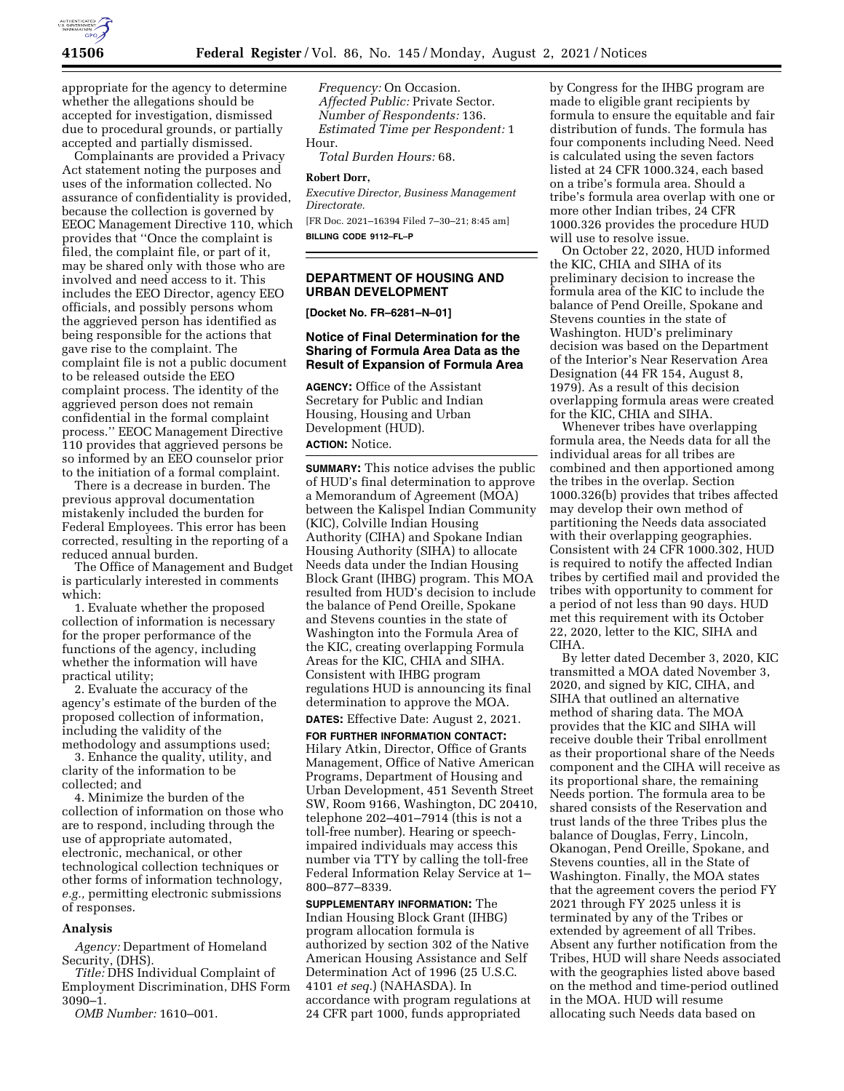

appropriate for the agency to determine whether the allegations should be accepted for investigation, dismissed due to procedural grounds, or partially accepted and partially dismissed.

Complainants are provided a Privacy Act statement noting the purposes and uses of the information collected. No assurance of confidentiality is provided, because the collection is governed by EEOC Management Directive 110, which provides that ''Once the complaint is filed, the complaint file, or part of it, may be shared only with those who are involved and need access to it. This includes the EEO Director, agency EEO officials, and possibly persons whom the aggrieved person has identified as being responsible for the actions that gave rise to the complaint. The complaint file is not a public document to be released outside the EEO complaint process. The identity of the aggrieved person does not remain confidential in the formal complaint process.'' EEOC Management Directive 110 provides that aggrieved persons be so informed by an EEO counselor prior to the initiation of a formal complaint.

There is a decrease in burden. The previous approval documentation mistakenly included the burden for Federal Employees. This error has been corrected, resulting in the reporting of a reduced annual burden.

The Office of Management and Budget is particularly interested in comments which:

1. Evaluate whether the proposed collection of information is necessary for the proper performance of the functions of the agency, including whether the information will have practical utility;

2. Evaluate the accuracy of the agency's estimate of the burden of the proposed collection of information, including the validity of the methodology and assumptions used;

3. Enhance the quality, utility, and clarity of the information to be collected; and

4. Minimize the burden of the collection of information on those who are to respond, including through the use of appropriate automated, electronic, mechanical, or other technological collection techniques or other forms of information technology, *e.g.,* permitting electronic submissions of responses.

#### **Analysis**

*Agency:* Department of Homeland Security, (DHS).

*Title:* DHS Individual Complaint of Employment Discrimination, DHS Form 3090–1.

*OMB Number:* 1610–001.

*Frequency:* On Occasion. *Affected Public:* Private Sector. *Number of Respondents:* 136. *Estimated Time per Respondent:* 1 Hour.

*Total Burden Hours:* 68.

#### **Robert Dorr,**

*Executive Director, Business Management Directorate.*  [FR Doc. 2021–16394 Filed 7–30–21; 8:45 am]

**BILLING CODE 9112–FL–P** 

# **DEPARTMENT OF HOUSING AND URBAN DEVELOPMENT**

**[Docket No. FR–6281–N–01]** 

## **Notice of Final Determination for the Sharing of Formula Area Data as the Result of Expansion of Formula Area**

**AGENCY:** Office of the Assistant Secretary for Public and Indian Housing, Housing and Urban Development (HUD). **ACTION:** Notice.

**SUMMARY:** This notice advises the public of HUD's final determination to approve a Memorandum of Agreement (MOA) between the Kalispel Indian Community (KIC), Colville Indian Housing Authority (CIHA) and Spokane Indian Housing Authority (SIHA) to allocate Needs data under the Indian Housing Block Grant (IHBG) program. This MOA resulted from HUD's decision to include the balance of Pend Oreille, Spokane and Stevens counties in the state of Washington into the Formula Area of the KIC, creating overlapping Formula Areas for the KIC, CHIA and SIHA. Consistent with IHBG program regulations HUD is announcing its final determination to approve the MOA.

**DATES:** Effective Date: August 2, 2021.

**FOR FURTHER INFORMATION CONTACT:**  Hilary Atkin, Director, Office of Grants Management, Office of Native American Programs, Department of Housing and Urban Development, 451 Seventh Street SW, Room 9166, Washington, DC 20410, telephone 202–401–7914 (this is not a toll-free number). Hearing or speechimpaired individuals may access this number via TTY by calling the toll-free Federal Information Relay Service at 1– 800–877–8339.

**SUPPLEMENTARY INFORMATION:** The Indian Housing Block Grant (IHBG) program allocation formula is authorized by section 302 of the Native American Housing Assistance and Self Determination Act of 1996 (25 U.S.C. 4101 *et seq.*) (NAHASDA). In accordance with program regulations at 24 CFR part 1000, funds appropriated

by Congress for the IHBG program are made to eligible grant recipients by formula to ensure the equitable and fair distribution of funds. The formula has four components including Need. Need is calculated using the seven factors listed at 24 CFR 1000.324, each based on a tribe's formula area. Should a tribe's formula area overlap with one or more other Indian tribes, 24 CFR 1000.326 provides the procedure HUD will use to resolve issue.

On October 22, 2020, HUD informed the KIC, CHIA and SIHA of its preliminary decision to increase the formula area of the KIC to include the balance of Pend Oreille, Spokane and Stevens counties in the state of Washington. HUD's preliminary decision was based on the Department of the Interior's Near Reservation Area Designation (44 FR 154, August 8, 1979). As a result of this decision overlapping formula areas were created for the KIC, CHIA and SIHA.

Whenever tribes have overlapping formula area, the Needs data for all the individual areas for all tribes are combined and then apportioned among the tribes in the overlap. Section 1000.326(b) provides that tribes affected may develop their own method of partitioning the Needs data associated with their overlapping geographies. Consistent with 24 CFR 1000.302, HUD is required to notify the affected Indian tribes by certified mail and provided the tribes with opportunity to comment for a period of not less than 90 days. HUD met this requirement with its October 22, 2020, letter to the KIC, SIHA and CIHA.

By letter dated December 3, 2020, KIC transmitted a MOA dated November 3, 2020, and signed by KIC, CIHA, and SIHA that outlined an alternative method of sharing data. The MOA provides that the KIC and SIHA will receive double their Tribal enrollment as their proportional share of the Needs component and the CIHA will receive as its proportional share, the remaining Needs portion. The formula area to be shared consists of the Reservation and trust lands of the three Tribes plus the balance of Douglas, Ferry, Lincoln, Okanogan, Pend Oreille, Spokane, and Stevens counties, all in the State of Washington. Finally, the MOA states that the agreement covers the period FY 2021 through FY 2025 unless it is terminated by any of the Tribes or extended by agreement of all Tribes. Absent any further notification from the Tribes, HUD will share Needs associated with the geographies listed above based on the method and time-period outlined in the MOA. HUD will resume allocating such Needs data based on